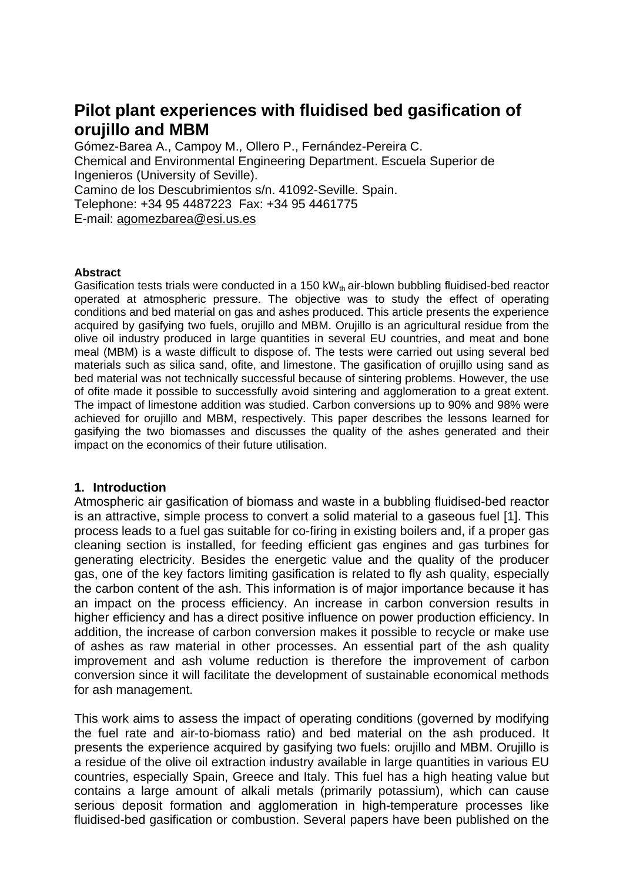# **Pilot plant experiences with fluidised bed gasification of orujillo and MBM**

Gómez-Barea A., Campoy M., Ollero P., Fernández-Pereira C. Chemical and Environmental Engineering Department. Escuela Superior de Ingenieros (University of Seville). Camino de los Descubrimientos s/n. 41092-Seville. Spain. Telephone: +34 95 4487223 Fax: +34 95 4461775 E-mail: agomezbarea@esi.us.es

#### **Abstract**

Gasification tests trials were conducted in a 150 kW $_{th}$  air-blown bubbling fluidised-bed reactor operated at atmospheric pressure. The objective was to study the effect of operating conditions and bed material on gas and ashes produced. This article presents the experience acquired by gasifying two fuels, orujillo and MBM. Orujillo is an agricultural residue from the olive oil industry produced in large quantities in several EU countries, and meat and bone meal (MBM) is a waste difficult to dispose of. The tests were carried out using several bed materials such as silica sand, ofite, and limestone. The gasification of orujillo using sand as bed material was not technically successful because of sintering problems. However, the use of ofite made it possible to successfully avoid sintering and agglomeration to a great extent. The impact of limestone addition was studied. Carbon conversions up to 90% and 98% were achieved for orujillo and MBM, respectively. This paper describes the lessons learned for gasifying the two biomasses and discusses the quality of the ashes generated and their impact on the economics of their future utilisation.

#### **1. Introduction**

Atmospheric air gasification of biomass and waste in a bubbling fluidised-bed reactor is an attractive, simple process to convert a solid material to a gaseous fuel [1]. This process leads to a fuel gas suitable for co-firing in existing boilers and, if a proper gas cleaning section is installed, for feeding efficient gas engines and gas turbines for generating electricity. Besides the energetic value and the quality of the producer gas, one of the key factors limiting gasification is related to fly ash quality, especially the carbon content of the ash. This information is of major importance because it has an impact on the process efficiency. An increase in carbon conversion results in higher efficiency and has a direct positive influence on power production efficiency. In addition, the increase of carbon conversion makes it possible to recycle or make use of ashes as raw material in other processes. An essential part of the ash quality improvement and ash volume reduction is therefore the improvement of carbon conversion since it will facilitate the development of sustainable economical methods for ash management.

This work aims to assess the impact of operating conditions (governed by modifying the fuel rate and air-to-biomass ratio) and bed material on the ash produced. It presents the experience acquired by gasifying two fuels: orujillo and MBM. Orujillo is a residue of the olive oil extraction industry available in large quantities in various EU countries, especially Spain, Greece and Italy. This fuel has a high heating value but contains a large amount of alkali metals (primarily potassium), which can cause serious deposit formation and agglomeration in high-temperature processes like fluidised-bed gasification or combustion. Several papers have been published on the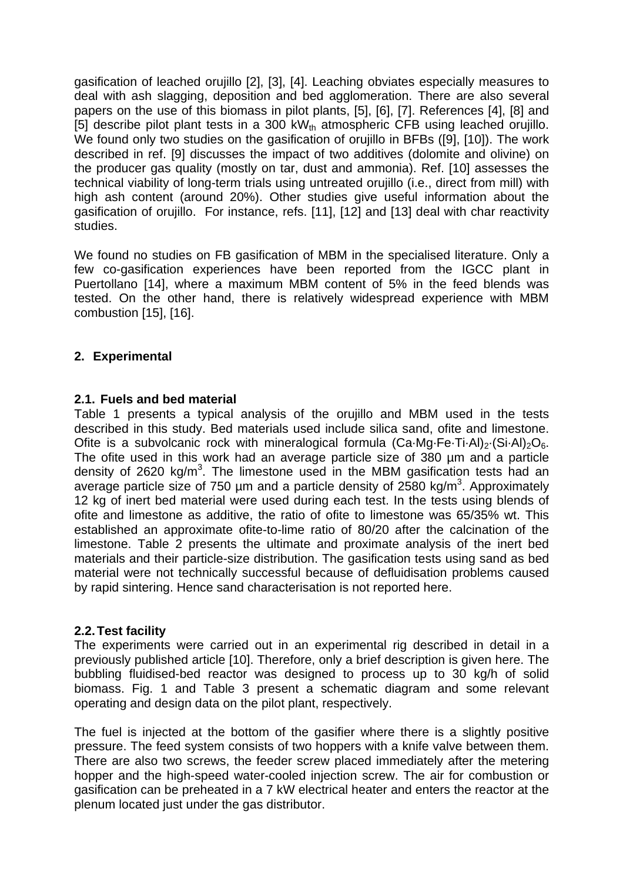gasification of leached orujillo [2], [3], [4]. Leaching obviates especially measures to deal with ash slagging, deposition and bed agglomeration. There are also several papers on the use of this biomass in pilot plants, [5], [6], [7]. References [4], [8] and [5] describe pilot plant tests in a 300 kW<sub>th</sub> atmospheric CFB using leached orujillo. We found only two studies on the gasification of orujillo in BFBs ([9], [10]). The work described in ref. [9] discusses the impact of two additives (dolomite and olivine) on the producer gas quality (mostly on tar, dust and ammonia). Ref. [10] assesses the technical viability of long-term trials using untreated orujillo (i.e., direct from mill) with high ash content (around 20%). Other studies give useful information about the gasification of orujillo. For instance, refs. [11], [12] and [13] deal with char reactivity studies.

We found no studies on FB gasification of MBM in the specialised literature. Only a few co-gasification experiences have been reported from the IGCC plant in Puertollano [14], where a maximum MBM content of 5% in the feed blends was tested. On the other hand, there is relatively widespread experience with MBM combustion [15], [16].

# **2. Experimental**

## **2.1. Fuels and bed material**

Table 1 presents a typical analysis of the orujillo and MBM used in the tests described in this study. Bed materials used include silica sand, ofite and limestone. Ofite is a subvolcanic rock with mineralogical formula  $(Ca \cdot Mq \cdot Fe \cdot Ti \cdot Al)_{2} (Si \cdot Al)_{2}O_{6}$ . The ofite used in this work had an average particle size of 380 µm and a particle density of 2620 kg/m<sup>3</sup>. The limestone used in the MBM gasification tests had an average particle size of 750  $\mu$ m and a particle density of 2580 kg/m<sup>3</sup>. Approximately 12 kg of inert bed material were used during each test. In the tests using blends of ofite and limestone as additive, the ratio of ofite to limestone was 65/35% wt. This established an approximate ofite-to-lime ratio of 80/20 after the calcination of the limestone. Table 2 presents the ultimate and proximate analysis of the inert bed materials and their particle-size distribution. The gasification tests using sand as bed material were not technically successful because of defluidisation problems caused by rapid sintering. Hence sand characterisation is not reported here.

## **2.2. Test facility**

The experiments were carried out in an experimental rig described in detail in a previously published article [10]. Therefore, only a brief description is given here. The bubbling fluidised-bed reactor was designed to process up to 30 kg/h of solid biomass. Fig. 1 and Table 3 present a schematic diagram and some relevant operating and design data on the pilot plant, respectively.

The fuel is injected at the bottom of the gasifier where there is a slightly positive pressure. The feed system consists of two hoppers with a knife valve between them. There are also two screws, the feeder screw placed immediately after the metering hopper and the high-speed water-cooled injection screw. The air for combustion or gasification can be preheated in a 7 kW electrical heater and enters the reactor at the plenum located just under the gas distributor.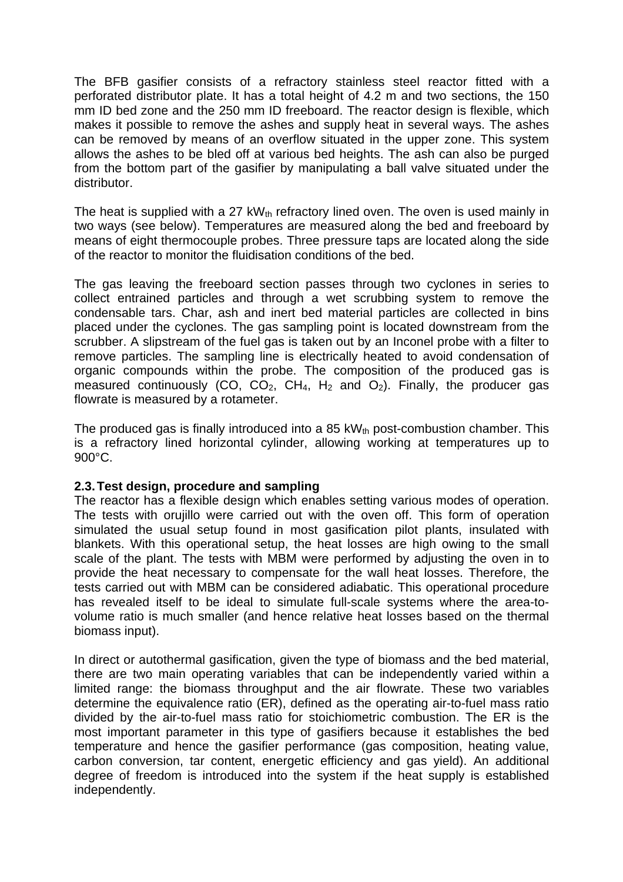The BFB gasifier consists of a refractory stainless steel reactor fitted with a perforated distributor plate. It has a total height of 4.2 m and two sections, the 150 mm ID bed zone and the 250 mm ID freeboard. The reactor design is flexible, which makes it possible to remove the ashes and supply heat in several ways. The ashes can be removed by means of an overflow situated in the upper zone. This system allows the ashes to be bled off at various bed heights. The ash can also be purged from the bottom part of the gasifier by manipulating a ball valve situated under the distributor.

The heat is supplied with a 27 kW<sub>th</sub> refractory lined oven. The oven is used mainly in two ways (see below). Temperatures are measured along the bed and freeboard by means of eight thermocouple probes. Three pressure taps are located along the side of the reactor to monitor the fluidisation conditions of the bed.

The gas leaving the freeboard section passes through two cyclones in series to collect entrained particles and through a wet scrubbing system to remove the condensable tars. Char, ash and inert bed material particles are collected in bins placed under the cyclones. The gas sampling point is located downstream from the scrubber. A slipstream of the fuel gas is taken out by an Inconel probe with a filter to remove particles. The sampling line is electrically heated to avoid condensation of organic compounds within the probe. The composition of the produced gas is measured continuously (CO, CO<sub>2</sub>, CH<sub>4</sub>, H<sub>2</sub> and O<sub>2</sub>). Finally, the producer gas flowrate is measured by a rotameter.

The produced gas is finally introduced into a 85 kW $_{\text{th}}$  post-combustion chamber. This is a refractory lined horizontal cylinder, allowing working at temperatures up to 900°C.

## **2.3. Test design, procedure and sampling**

The reactor has a flexible design which enables setting various modes of operation. The tests with orujillo were carried out with the oven off. This form of operation simulated the usual setup found in most gasification pilot plants, insulated with blankets. With this operational setup, the heat losses are high owing to the small scale of the plant. The tests with MBM were performed by adjusting the oven in to provide the heat necessary to compensate for the wall heat losses. Therefore, the tests carried out with MBM can be considered adiabatic. This operational procedure has revealed itself to be ideal to simulate full-scale systems where the area-tovolume ratio is much smaller (and hence relative heat losses based on the thermal biomass input).

In direct or autothermal gasification, given the type of biomass and the bed material, there are two main operating variables that can be independently varied within a limited range: the biomass throughput and the air flowrate. These two variables determine the equivalence ratio (ER), defined as the operating air-to-fuel mass ratio divided by the air-to-fuel mass ratio for stoichiometric combustion. The ER is the most important parameter in this type of gasifiers because it establishes the bed temperature and hence the gasifier performance (gas composition, heating value, carbon conversion, tar content, energetic efficiency and gas yield). An additional degree of freedom is introduced into the system if the heat supply is established independently.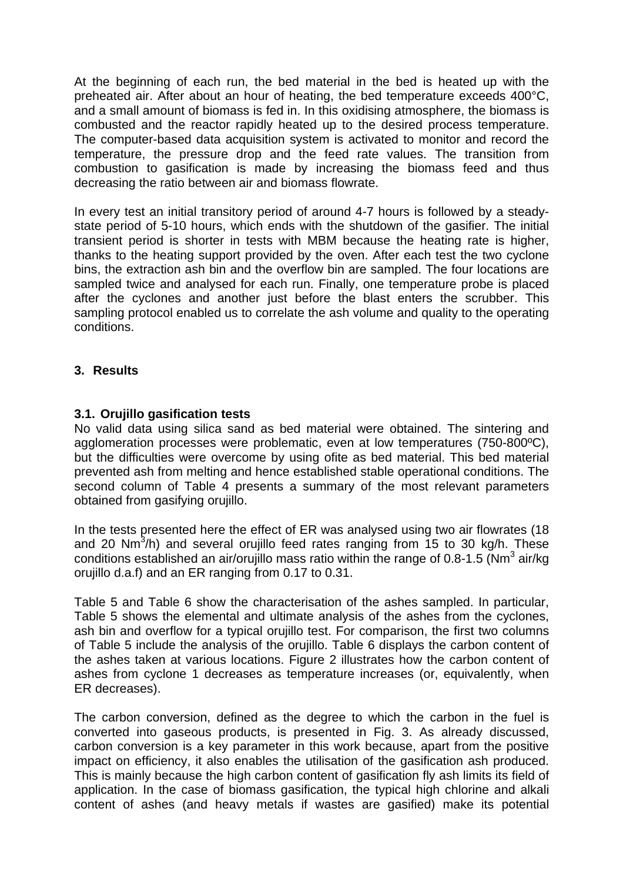At the beginning of each run, the bed material in the bed is heated up with the preheated air. After about an hour of heating, the bed temperature exceeds 400°C, and a small amount of biomass is fed in. In this oxidising atmosphere, the biomass is combusted and the reactor rapidly heated up to the desired process temperature. The computer-based data acquisition system is activated to monitor and record the temperature, the pressure drop and the feed rate values. The transition from combustion to gasification is made by increasing the biomass feed and thus decreasing the ratio between air and biomass flowrate.

In every test an initial transitory period of around 4-7 hours is followed by a steadystate period of 5-10 hours, which ends with the shutdown of the gasifier. The initial transient period is shorter in tests with MBM because the heating rate is higher, thanks to the heating support provided by the oven. After each test the two cyclone bins, the extraction ash bin and the overflow bin are sampled. The four locations are sampled twice and analysed for each run. Finally, one temperature probe is placed after the cyclones and another just before the blast enters the scrubber. This sampling protocol enabled us to correlate the ash volume and quality to the operating conditions.

# **3. Results**

## **3.1. Orujillo gasification tests**

No valid data using silica sand as bed material were obtained. The sintering and agglomeration processes were problematic, even at low temperatures (750-800ºC), but the difficulties were overcome by using ofite as bed material. This bed material prevented ash from melting and hence established stable operational conditions. The second column of Table 4 presents a summary of the most relevant parameters obtained from gasifying orujillo.

In the tests presented here the effect of ER was analysed using two air flowrates (18 and 20 Nm $^3$ /h) and several orujillo feed rates ranging from 15 to 30 kg/h. These conditions established an air/orujillo mass ratio within the range of 0.8-1.5 (Nm<sup>3</sup> air/kg orujillo d.a.f) and an ER ranging from 0.17 to 0.31.

Table 5 and Table 6 show the characterisation of the ashes sampled. In particular, Table 5 shows the elemental and ultimate analysis of the ashes from the cyclones, ash bin and overflow for a typical orujillo test. For comparison, the first two columns of Table 5 include the analysis of the orujillo. Table 6 displays the carbon content of the ashes taken at various locations. Figure 2 illustrates how the carbon content of ashes from cyclone 1 decreases as temperature increases (or, equivalently, when ER decreases).

The carbon conversion, defined as the degree to which the carbon in the fuel is converted into gaseous products, is presented in Fig. 3. As already discussed, carbon conversion is a key parameter in this work because, apart from the positive impact on efficiency, it also enables the utilisation of the gasification ash produced. This is mainly because the high carbon content of gasification fly ash limits its field of application. In the case of biomass gasification, the typical high chlorine and alkali content of ashes (and heavy metals if wastes are gasified) make its potential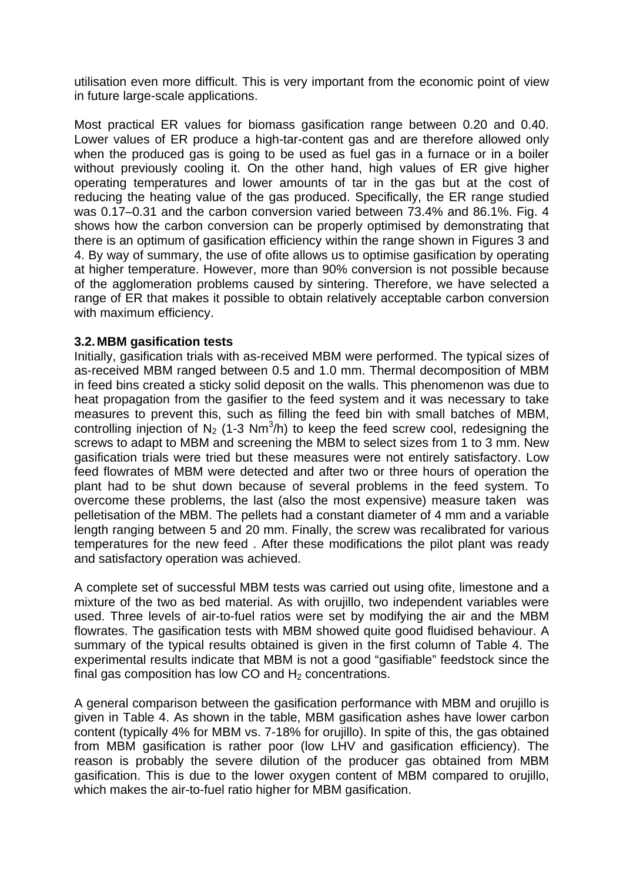utilisation even more difficult. This is very important from the economic point of view in future large-scale applications.

Most practical ER values for biomass gasification range between 0.20 and 0.40. Lower values of ER produce a high-tar-content gas and are therefore allowed only when the produced gas is going to be used as fuel gas in a furnace or in a boiler without previously cooling it. On the other hand, high values of ER give higher operating temperatures and lower amounts of tar in the gas but at the cost of reducing the heating value of the gas produced. Specifically, the ER range studied was 0.17–0.31 and the carbon conversion varied between 73.4% and 86.1%. Fig. 4 shows how the carbon conversion can be properly optimised by demonstrating that there is an optimum of gasification efficiency within the range shown in Figures 3 and 4. By way of summary, the use of ofite allows us to optimise gasification by operating at higher temperature. However, more than 90% conversion is not possible because of the agglomeration problems caused by sintering. Therefore, we have selected a range of ER that makes it possible to obtain relatively acceptable carbon conversion with maximum efficiency.

## **3.2. MBM gasification tests**

Initially, gasification trials with as-received MBM were performed. The typical sizes of as-received MBM ranged between 0.5 and 1.0 mm. Thermal decomposition of MBM in feed bins created a sticky solid deposit on the walls. This phenomenon was due to heat propagation from the gasifier to the feed system and it was necessary to take measures to prevent this, such as filling the feed bin with small batches of MBM, controlling injection of  $N_2$  (1-3 Nm<sup>3</sup>/h) to keep the feed screw cool, redesigning the screws to adapt to MBM and screening the MBM to select sizes from 1 to 3 mm. New gasification trials were tried but these measures were not entirely satisfactory. Low feed flowrates of MBM were detected and after two or three hours of operation the plant had to be shut down because of several problems in the feed system. To overcome these problems, the last (also the most expensive) measure taken was pelletisation of the MBM. The pellets had a constant diameter of 4 mm and a variable length ranging between 5 and 20 mm. Finally, the screw was recalibrated for various temperatures for the new feed . After these modifications the pilot plant was ready and satisfactory operation was achieved.

A complete set of successful MBM tests was carried out using ofite, limestone and a mixture of the two as bed material. As with orujillo, two independent variables were used. Three levels of air-to-fuel ratios were set by modifying the air and the MBM flowrates. The gasification tests with MBM showed quite good fluidised behaviour. A summary of the typical results obtained is given in the first column of Table 4. The experimental results indicate that MBM is not a good "gasifiable" feedstock since the final gas composition has low CO and  $H_2$  concentrations.

A general comparison between the gasification performance with MBM and orujillo is given in Table 4. As shown in the table, MBM gasification ashes have lower carbon content (typically 4% for MBM vs. 7-18% for orujillo). In spite of this, the gas obtained from MBM gasification is rather poor (low LHV and gasification efficiency). The reason is probably the severe dilution of the producer gas obtained from MBM gasification. This is due to the lower oxygen content of MBM compared to orujillo, which makes the air-to-fuel ratio higher for MBM gasification.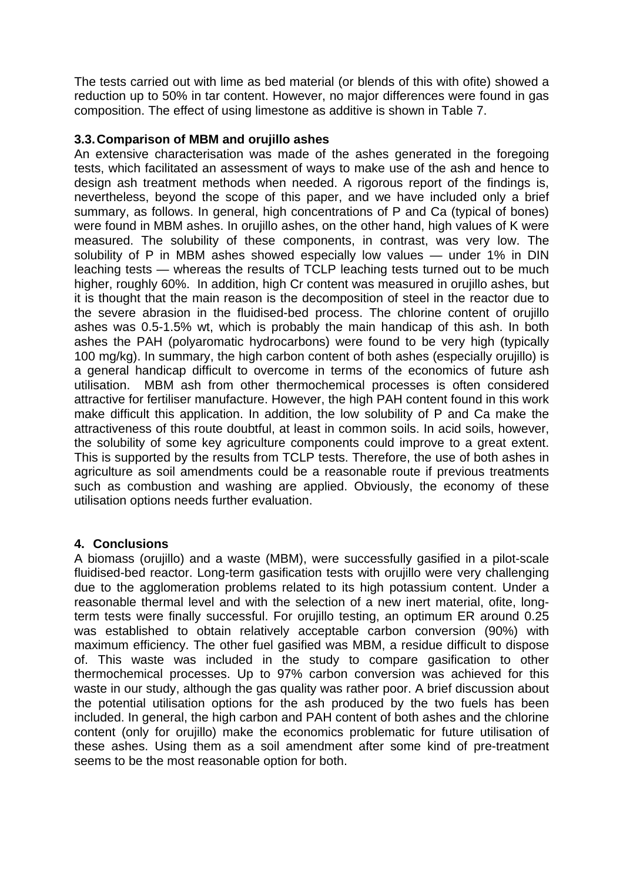The tests carried out with lime as bed material (or blends of this with ofite) showed a reduction up to 50% in tar content. However, no major differences were found in gas composition. The effect of using limestone as additive is shown in Table 7.

# **3.3. Comparison of MBM and orujillo ashes**

An extensive characterisation was made of the ashes generated in the foregoing tests, which facilitated an assessment of ways to make use of the ash and hence to design ash treatment methods when needed. A rigorous report of the findings is, nevertheless, beyond the scope of this paper, and we have included only a brief summary, as follows. In general, high concentrations of P and Ca (typical of bones) were found in MBM ashes. In orujillo ashes, on the other hand, high values of K were measured. The solubility of these components, in contrast, was very low. The solubility of P in MBM ashes showed especially low values — under 1% in DIN leaching tests — whereas the results of TCLP leaching tests turned out to be much higher, roughly 60%. In addition, high Cr content was measured in orujillo ashes, but it is thought that the main reason is the decomposition of steel in the reactor due to the severe abrasion in the fluidised-bed process. The chlorine content of orujillo ashes was 0.5-1.5% wt, which is probably the main handicap of this ash. In both ashes the PAH (polyaromatic hydrocarbons) were found to be very high (typically 100 mg/kg). In summary, the high carbon content of both ashes (especially orujillo) is a general handicap difficult to overcome in terms of the economics of future ash utilisation. MBM ash from other thermochemical processes is often considered attractive for fertiliser manufacture. However, the high PAH content found in this work make difficult this application. In addition, the low solubility of P and Ca make the attractiveness of this route doubtful, at least in common soils. In acid soils, however, the solubility of some key agriculture components could improve to a great extent. This is supported by the results from TCLP tests. Therefore, the use of both ashes in agriculture as soil amendments could be a reasonable route if previous treatments such as combustion and washing are applied. Obviously, the economy of these utilisation options needs further evaluation.

## **4. Conclusions**

A biomass (orujillo) and a waste (MBM), were successfully gasified in a pilot-scale fluidised-bed reactor. Long-term gasification tests with orujillo were very challenging due to the agglomeration problems related to its high potassium content. Under a reasonable thermal level and with the selection of a new inert material, ofite, longterm tests were finally successful. For orujillo testing, an optimum ER around 0.25 was established to obtain relatively acceptable carbon conversion (90%) with maximum efficiency. The other fuel gasified was MBM, a residue difficult to dispose of. This waste was included in the study to compare gasification to other thermochemical processes. Up to 97% carbon conversion was achieved for this waste in our study, although the gas quality was rather poor. A brief discussion about the potential utilisation options for the ash produced by the two fuels has been included. In general, the high carbon and PAH content of both ashes and the chlorine content (only for orujillo) make the economics problematic for future utilisation of these ashes. Using them as a soil amendment after some kind of pre-treatment seems to be the most reasonable option for both.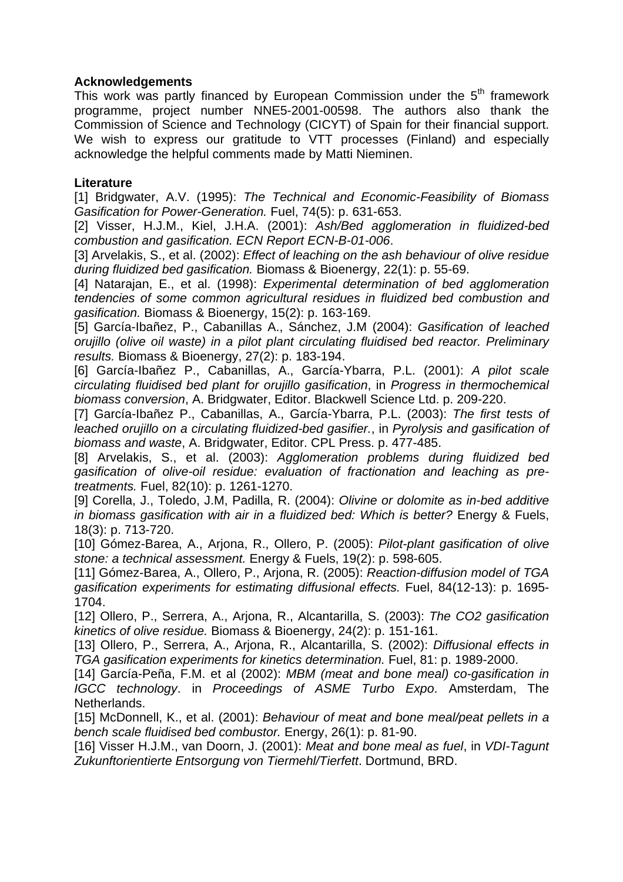# **Acknowledgements**

This work was partly financed by European Commission under the  $5<sup>th</sup>$  framework programme, project number NNE5-2001-00598. The authors also thank the Commission of Science and Technology (CICYT) of Spain for their financial support. We wish to express our gratitude to VTT processes (Finland) and especially acknowledge the helpful comments made by Matti Nieminen.

# **Literature**

[1] Bridgwater, A.V. (1995): *The Technical and Economic-Feasibility of Biomass Gasification for Power-Generation.* Fuel, 74(5): p. 631-653.

[2] Visser, H.J.M., Kiel, J.H.A. (2001): *Ash/Bed agglomeration in fluidized-bed combustion and gasification. ECN Report ECN-B-01-006*.

[3] Arvelakis, S., et al. (2002): *Effect of leaching on the ash behaviour of olive residue during fluidized bed gasification.* Biomass & Bioenergy, 22(1): p. 55-69.

[4] Natarajan, E., et al. (1998): *Experimental determination of bed agglomeration tendencies of some common agricultural residues in fluidized bed combustion and gasification.* Biomass & Bioenergy, 15(2): p. 163-169.

[5] García-Ibañez, P., Cabanillas A., Sánchez, J.M (2004): *Gasification of leached orujillo (olive oil waste) in a pilot plant circulating fluidised bed reactor. Preliminary results.* Biomass & Bioenergy, 27(2): p. 183-194.

[6] García-Ibañez P., Cabanillas, A., García-Ybarra, P.L. (2001): *A pilot scale circulating fluidised bed plant for orujillo gasification*, in *Progress in thermochemical biomass conversion*, A. Bridgwater, Editor. Blackwell Science Ltd. p. 209-220.

[7] García-Ibañez P., Cabanillas, A., García-Ybarra, P.L. (2003): *The first tests of leached orujillo on a circulating fluidized-bed gasifier.*, in *Pyrolysis and gasification of biomass and waste*, A. Bridgwater, Editor. CPL Press. p. 477-485.

[8] Arvelakis, S., et al. (2003): *Agglomeration problems during fluidized bed gasification of olive-oil residue: evaluation of fractionation and leaching as pretreatments.* Fuel, 82(10): p. 1261-1270.

[9] Corella, J., Toledo, J.M, Padilla, R. (2004): *Olivine or dolomite as in-bed additive in biomass gasification with air in a fluidized bed: Which is better?* Energy & Fuels, 18(3): p. 713-720.

[10] Gómez-Barea, A., Arjona, R., Ollero, P. (2005): *Pilot-plant gasification of olive stone: a technical assessment.* Energy & Fuels, 19(2): p. 598-605.

[11] Gómez-Barea, A., Ollero, P., Arjona, R. (2005): *Reaction-diffusion model of TGA gasification experiments for estimating diffusional effects.* Fuel, 84(12-13): p. 1695- 1704.

[12] Ollero, P., Serrera, A., Arjona, R., Alcantarilla, S. (2003): *The CO2 gasification kinetics of olive residue.* Biomass & Bioenergy, 24(2): p. 151-161.

[13] Ollero, P., Serrera, A., Arjona, R., Alcantarilla, S. (2002): *Diffusional effects in TGA gasification experiments for kinetics determination.* Fuel, 81: p. 1989-2000.

[14] García-Peña, F.M. et al (2002): *MBM (meat and bone meal) co-gasification in IGCC technology*. in *Proceedings of ASME Turbo Expo*. Amsterdam, The Netherlands.

[15] McDonnell, K., et al. (2001): *Behaviour of meat and bone meal/peat pellets in a bench scale fluidised bed combustor.* Energy, 26(1): p. 81-90.

[16] Visser H.J.M., van Doorn, J. (2001): *Meat and bone meal as fuel*, in *VDI-Tagunt Zukunftorientierte Entsorgung von Tiermehl/Tierfett*. Dortmund, BRD.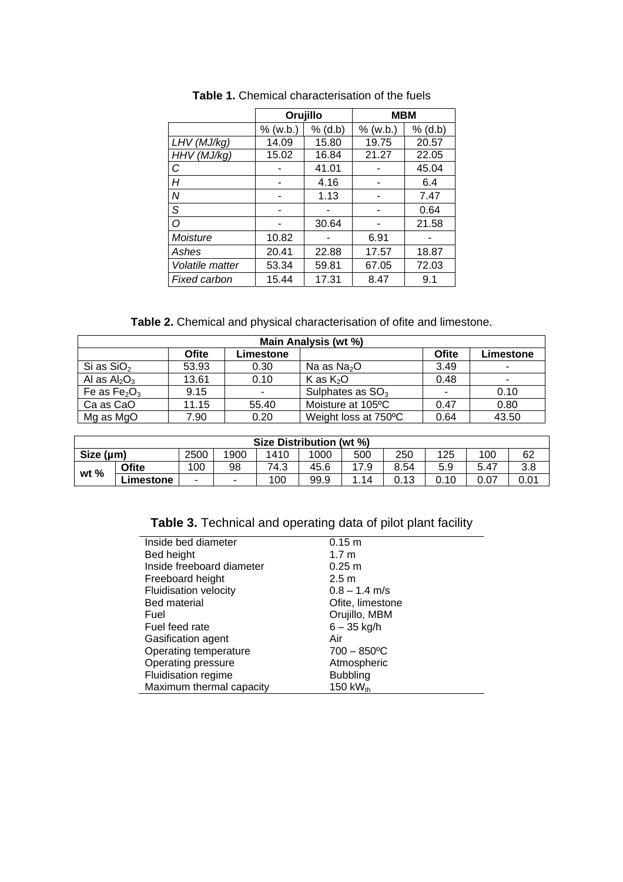|                 | Orujillo   |           | <b>MBM</b> |           |  |
|-----------------|------------|-----------|------------|-----------|--|
|                 | $%$ (w.b.) | $%$ (d.b) | $%$ (w.b.) | $%$ (d.b) |  |
| LHV (MJ/kg)     | 14.09      | 15.80     | 19.75      | 20.57     |  |
| HHV (MJ/kg)     | 15.02      | 16.84     | 21.27      | 22.05     |  |
| $\overline{C}$  |            | 41.01     |            | 45.04     |  |
| H               |            | 4.16      |            | 6.4       |  |
| l N             |            | 1.13      |            | 7.47      |  |
| S               |            |           |            | 0.64      |  |
| $\circ$         |            | 30.64     |            | 21.58     |  |
| Moisture        | 10.82      |           | 6.91       |           |  |
| Ashes           | 20.41      | 22.88     | 17.57      | 18.87     |  |
| Volatile matter | 53.34      | 59.81     | 67.05      | 72.03     |  |
| Fixed carbon    | 15.44      | 17.31     | 8.47       | 9.1       |  |

**Table 1.** Chemical characterisation of the fuels

**Table 2.** Chemical and physical characterisation of ofite and limestone.

| Main Analysis (wt %) |              |                          |                      |                          |           |  |  |
|----------------------|--------------|--------------------------|----------------------|--------------------------|-----------|--|--|
|                      | <b>Ofite</b> | Limestone                |                      | Ofite                    | Limestone |  |  |
| Si as $SiO2$         | 53.93        | 0.30                     | Na as $Na2O$         | 3.49                     |           |  |  |
| Al as $Al_2O_3$      | 13.61        | 0.10                     | K as $K_2O$          | 0.48                     | ٠         |  |  |
| Fe as $Fe2O3$        | 9.15         | $\overline{\phantom{a}}$ | Sulphates as $SO3$   | $\overline{\phantom{0}}$ | 0.10      |  |  |
| Ca as CaO            | 11.15        | 55.40                    | Moisture at 105°C    | 0.47                     | 0.80      |  |  |
| Mg as MgO            | 7.90         | 0.20                     | Weight loss at 750°C | 0.64                     | 43.50     |  |  |

| Size Distribution (wt %) |           |      |      |      |      |     |      |      |      |      |
|--------------------------|-----------|------|------|------|------|-----|------|------|------|------|
| Size $(\mu m)$           |           | 2500 | 1900 | 1410 | 1000 | 500 | 250  | 125  | 100  | 62   |
| wt $%$                   | Ofite     | 100  | 98   | 74.3 | 45.6 | 7.9 | 8.54 | 5.9  | 5.47 | 3.8  |
|                          | ∟imestone | ۰.   | -    | 100  | 99.9 | 14  | 0.13 | 0.10 |      | 0.01 |

| Inside bed diameter          | $0.15 \; m$                |
|------------------------------|----------------------------|
| Bed height                   | 1.7 <sub>m</sub>           |
| Inside freeboard diameter    | $0.25 \; m$                |
| Freeboard height             | 2.5 <sub>m</sub>           |
| <b>Fluidisation velocity</b> | $0.8 - 1.4$ m/s            |
| <b>Bed material</b>          | Ofite, limestone           |
| Fuel                         | Orujillo, MBM              |
| Fuel feed rate               | $6 - 35$ kg/h              |
| Gasification agent           | Air                        |
| Operating temperature        | $700 - 850$ <sup>o</sup> C |
| Operating pressure           | Atmospheric                |
| Fluidisation regime          | <b>Bubbling</b>            |
| Maximum thermal capacity     | 150 k $W_{th}$             |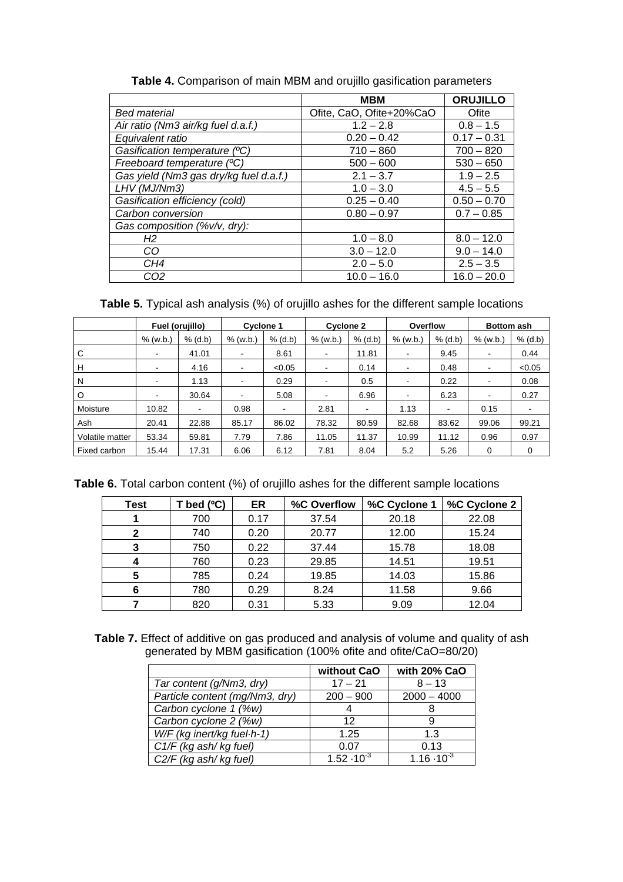|                                        | <b>MBM</b>               | <b>ORUJILLO</b> |
|----------------------------------------|--------------------------|-----------------|
| <b>Bed material</b>                    | Ofite, CaO, Ofite+20%CaO | Ofite           |
| Air ratio (Nm3 air/kg fuel d.a.f.)     | $1.2 - 2.8$              | $0.8 - 1.5$     |
| Equivalent ratio                       | $0.20 - 0.42$            | $0.17 - 0.31$   |
| Gasification temperature (°C)          | $710 - 860$              | $700 - 820$     |
| Freeboard temperature (°C)             | $500 - 600$              | $530 - 650$     |
| Gas yield (Nm3 gas dry/kg fuel d.a.f.) | $2.1 - 3.7$              | $1.9 - 2.5$     |
| LHV (MJ/Nm3)                           | $1.0 - 3.0$              | $4.5 - 5.5$     |
| Gasification efficiency (cold)         | $0.25 - 0.40$            | $0.50 - 0.70$   |
| Carbon conversion                      | $0.80 - 0.97$            | $0.7 - 0.85$    |
| Gas composition (%v/v, dry):           |                          |                 |
| H2                                     | $1.0 - 8.0$              | $8.0 - 12.0$    |
| CO                                     | $3.0 - 12.0$             | $9.0 - 14.0$    |
| CH4                                    | $2.0 - 5.0$              | $2.5 - 3.5$     |
| CO2                                    | $10.0 - 16.0$            | $16.0 - 20.0$   |

|  | Table 4. Comparison of main MBM and orujillo gasification parameters |  |
|--|----------------------------------------------------------------------|--|
|  |                                                                      |  |

**Table 5.** Typical ash analysis (%) of orujillo ashes for the different sample locations

|                 | Fuel (orujillo)          |           | <b>Cyclone 1</b>         |                          | <b>Cyclone 2</b>         |                | Overflow                 |           | <b>Bottom ash</b>        |           |
|-----------------|--------------------------|-----------|--------------------------|--------------------------|--------------------------|----------------|--------------------------|-----------|--------------------------|-----------|
|                 | $%$ (w.b.)               | $%$ (d.b) | $%$ (w.b.)               | $%$ (d.b)                | $%$ (w.b.)               | $%$ (d.b)      | $%$ (w.b.)               | $%$ (d.b) | $%$ (w.b.)               | $%$ (d.b) |
| C               | $\overline{\phantom{a}}$ | 41.01     | $\blacksquare$           | 8.61                     |                          | 11.81          | $\overline{\phantom{a}}$ | 9.45      |                          | 0.44      |
| н               | $\,$ $\,$                | 4.16      | $\overline{\phantom{a}}$ | < 0.05                   | $\overline{\phantom{a}}$ | 0.14           | $\blacksquare$           | 0.48      | $\overline{\phantom{a}}$ | < 0.05    |
| N               | -                        | 1.13      | $\overline{\phantom{a}}$ | 0.29                     |                          | 0.5            | $\overline{\phantom{a}}$ | 0.22      |                          | 0.08      |
| O               |                          | 30.64     | $\blacksquare$           | 5.08                     |                          | 6.96           | $\overline{\phantom{a}}$ | 6.23      |                          | 0.27      |
| Moisture        | 10.82                    | ۰         | 0.98                     | $\overline{\phantom{a}}$ | 2.81                     | $\blacksquare$ | 1.13                     |           | 0.15                     | ۰         |
| Ash             | 20.41                    | 22.88     | 85.17                    | 86.02                    | 78.32                    | 80.59          | 82.68                    | 83.62     | 99.06                    | 99.21     |
| Volatile matter | 53.34                    | 59.81     | 7.79                     | 7.86                     | 11.05                    | 11.37          | 10.99                    | 11.12     | 0.96                     | 0.97      |
| Fixed carbon    | 15.44                    | 17.31     | 6.06                     | 6.12                     | 7.81                     | 8.04           | 5.2                      | 5.26      | 0                        | 0         |

|  |  |  |  |  |  |  |  |  |  | <b>Table 6.</b> Total carbon content (%) of orujillo ashes for the different sample locations |
|--|--|--|--|--|--|--|--|--|--|-----------------------------------------------------------------------------------------------|
|--|--|--|--|--|--|--|--|--|--|-----------------------------------------------------------------------------------------------|

| Test | bed $(°C)$ | ER   | %C Overflow | %C Cyclone 1 | %C Cyclone 2 |
|------|------------|------|-------------|--------------|--------------|
|      | 700        | 0.17 | 37.54       | 20.18        | 22.08        |
| 2    | 740        | 0.20 | 20.77       | 12.00        | 15.24        |
| 3    | 750        | 0.22 | 37.44       | 15.78        | 18.08        |
| 4    | 760        | 0.23 | 29.85       | 14.51        | 19.51        |
| 5    | 785        | 0.24 | 19.85       | 14.03        | 15.86        |
| 6    | 780        | 0.29 | 8.24        | 11.58        | 9.66         |
|      | 820        | 0.31 | 5.33        | 9.09         | 12.04        |

**Table 7.** Effect of additive on gas produced and analysis of volume and quality of ash generated by MBM gasification (100% ofite and ofite/CaO=80/20)

|                                | without CaO          | with 20% CaO         |
|--------------------------------|----------------------|----------------------|
| Tar content (g/Nm3, dry)       | $17 - 21$            | $8 - 13$             |
| Particle content (mg/Nm3, dry) | $200 - 900$          | $2000 - 4000$        |
| Carbon cyclone 1 (%w)          |                      |                      |
| Carbon cyclone 2 (%w)          | 12                   | 9                    |
| W/F (kg inert/kg fuel·h-1)     | 1.25                 | 1.3                  |
| C1/F (kg ash/kg fuel)          | 0.07                 | 0.13                 |
| C2/F (kg ash/kg fuel)          | $1.52 \cdot 10^{-3}$ | $1.16 \cdot 10^{-3}$ |